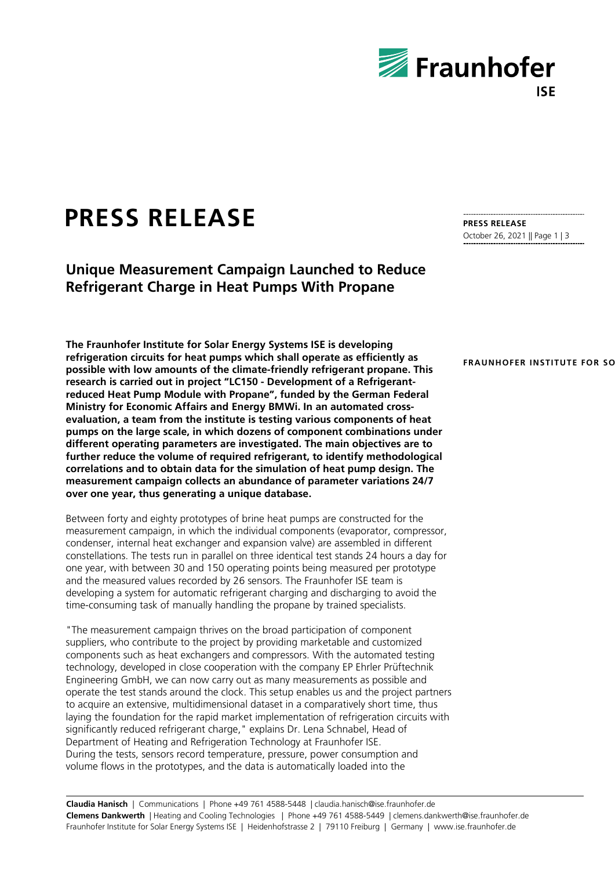

## **PRESS RELEASE**

**Unique Measurement Campaign Launched to Reduce Refrigerant Charge in Heat Pumps With Propane**

**The Fraunhofer Institute for Solar Energy Systems ISE is developing refrigeration circuits for heat pumps which shall operate as efficiently as possible with low amounts of the climate-friendly refrigerant propane. This research is carried out in project "LC150 - Development of a Refrigerantreduced Heat Pump Module with Propane", funded by the German Federal Ministry for Economic Affairs and Energy BMWi. In an automated crossevaluation, a team from the institute is testing various components of heat pumps on the large scale, in which dozens of component combinations under different operating parameters are investigated. The main objectives are to further reduce the volume of required refrigerant, to identify methodological correlations and to obtain data for the simulation of heat pump design. The measurement campaign collects an abundance of parameter variations 24/7 over one year, thus generating a unique database.**

Between forty and eighty prototypes of brine heat pumps are constructed for the measurement campaign, in which the individual components (evaporator, compressor, condenser, internal heat exchanger and expansion valve) are assembled in different constellations. The tests run in parallel on three identical test stands 24 hours a day for one year, with between 30 and 150 operating points being measured per prototype and the measured values recorded by 26 sensors. The Fraunhofer ISE team is developing a system for automatic refrigerant charging and discharging to avoid the time-consuming task of manually handling the propane by trained specialists.

"The measurement campaign thrives on the broad participation of component suppliers, who contribute to the project by providing marketable and customized components such as heat exchangers and compressors. With the automated testing technology, developed in close cooperation with the company EP Ehrler Prüftechnik Engineering GmbH, we can now carry out as many measurements as possible and operate the test stands around the clock. This setup enables us and the project partners to acquire an extensive, multidimensional dataset in a comparatively short time, thus laying the foundation for the rapid market implementation of refrigeration circuits with significantly reduced refrigerant charge," explains Dr. Lena Schnabel, Head of Department of Heating and Refrigeration Technology at Fraunhofer ISE. During the tests, sensors record temperature, pressure, power consumption and volume flows in the prototypes, and the data is automatically loaded into the

**PRESS RELEASE** October 26, 2021 || Page 1 | 3

## **FRAUNHOFER INSTITUTE FOR SO**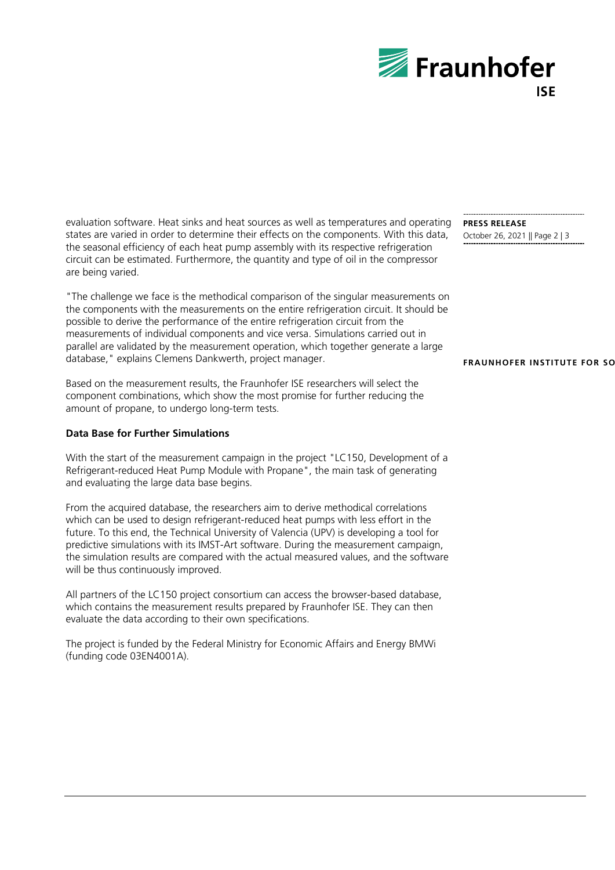

evaluation software. Heat sinks and heat sources as well as temperatures and operating states are varied in order to determine their effects on the components. With this data, the seasonal efficiency of each heat pump assembly with its respective refrigeration circuit can be estimated. Furthermore, the quantity and type of oil in the compressor are being varied.

"The challenge we face is the methodical comparison of the singular measurements on the components with the measurements on the entire refrigeration circuit. It should be possible to derive the performance of the entire refrigeration circuit from the measurements of individual components and vice versa. Simulations carried out in parallel are validated by the measurement operation, which together generate a large database," explains Clemens Dankwerth, project manager.

Based on the measurement results, the Fraunhofer ISE researchers will select the component combinations, which show the most promise for further reducing the amount of propane, to undergo long-term tests.

## **Data Base for Further Simulations**

With the start of the measurement campaign in the project "LC150, Development of a Refrigerant-reduced Heat Pump Module with Propane", the main task of generating and evaluating the large data base begins.

From the acquired database, the researchers aim to derive methodical correlations which can be used to design refrigerant-reduced heat pumps with less effort in the future. To this end, the Technical University of Valencia (UPV) is developing a tool for predictive simulations with its IMST-Art software. During the measurement campaign, the simulation results are compared with the actual measured values, and the software will be thus continuously improved.

All partners of the LC150 project consortium can access the browser-based database, which contains the measurement results prepared by Fraunhofer ISE. They can then evaluate the data according to their own specifications.

The project is funded by the Federal Ministry for Economic Affairs and Energy BMWi (funding code 03EN4001A).

**PRESS RELEASE** October 26, 2021 || Page 2 | 3

## **FRAUNHOFER INSTITUTE FOR SO**